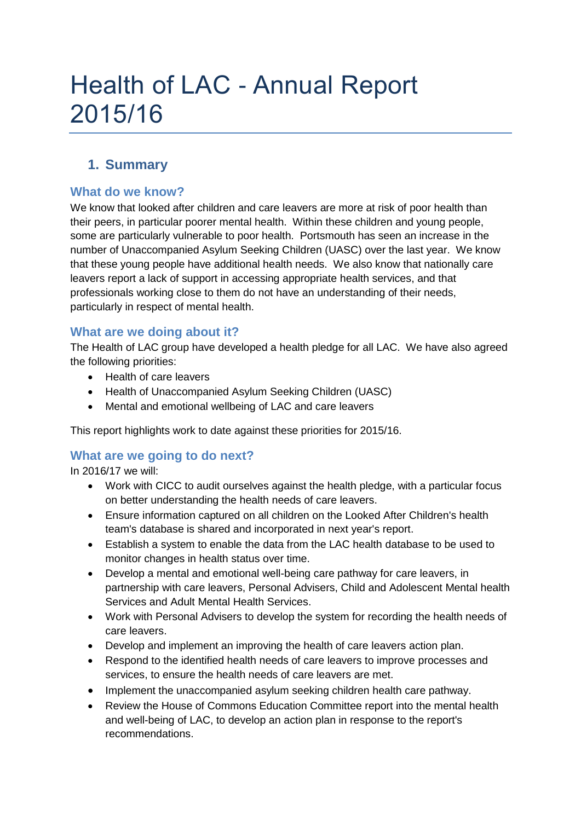# Health of LAC - Annual Report 2015/16

# **1. Summary**

## **What do we know?**

We know that looked after children and care leavers are more at risk of poor health than their peers, in particular poorer mental health. Within these children and young people, some are particularly vulnerable to poor health. Portsmouth has seen an increase in the number of Unaccompanied Asylum Seeking Children (UASC) over the last year. We know that these young people have additional health needs. We also know that nationally care leavers report a lack of support in accessing appropriate health services, and that professionals working close to them do not have an understanding of their needs, particularly in respect of mental health.

## **What are we doing about it?**

The Health of LAC group have developed a health pledge for all LAC. We have also agreed the following priorities:

- Health of care leavers
- Health of Unaccompanied Asylum Seeking Children (UASC)
- Mental and emotional wellbeing of LAC and care leavers

This report highlights work to date against these priorities for 2015/16.

#### **What are we going to do next?**

In 2016/17 we will:

- Work with CICC to audit ourselves against the health pledge, with a particular focus on better understanding the health needs of care leavers.
- Ensure information captured on all children on the Looked After Children's health team's database is shared and incorporated in next year's report.
- Establish a system to enable the data from the LAC health database to be used to monitor changes in health status over time.
- Develop a mental and emotional well-being care pathway for care leavers, in partnership with care leavers, Personal Advisers, Child and Adolescent Mental health Services and Adult Mental Health Services.
- Work with Personal Advisers to develop the system for recording the health needs of care leavers.
- Develop and implement an improving the health of care leavers action plan.
- Respond to the identified health needs of care leavers to improve processes and services, to ensure the health needs of care leavers are met.
- Implement the unaccompanied asylum seeking children health care pathway.
- Review the House of Commons Education Committee report into the mental health and well-being of LAC, to develop an action plan in response to the report's recommendations.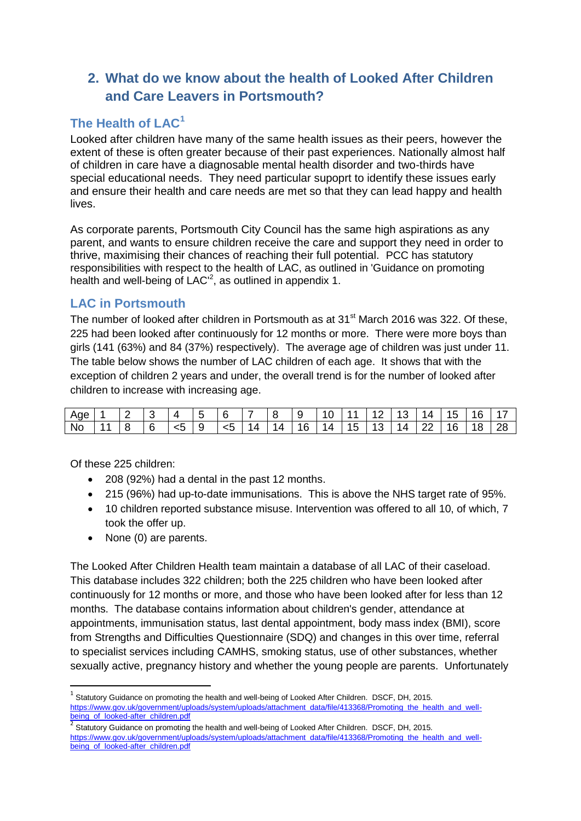# **2. What do we know about the health of Looked After Children and Care Leavers in Portsmouth?**

# **The Health of LAC<sup>1</sup>**

Looked after children have many of the same health issues as their peers, however the extent of these is often greater because of their past experiences. Nationally almost half of children in care have a diagnosable mental health disorder and two-thirds have special educational needs. They need particular supoprt to identify these issues early and ensure their health and care needs are met so that they can lead happy and health lives.

As corporate parents, Portsmouth City Council has the same high aspirations as any parent, and wants to ensure children receive the care and support they need in order to thrive, maximising their chances of reaching their full potential. PCC has statutory responsibilities with respect to the health of LAC, as outlined in 'Guidance on promoting health and well-being of LAC<sup>'2</sup>, as outlined in appendix 1.

## **LAC in Portsmouth**

The number of looked after children in Portsmouth as at 31<sup>st</sup> March 2016 was 322. Of these, 225 had been looked after continuously for 12 months or more. There were more boys than girls (141 (63%) and 84 (37%) respectively). The average age of children was just under 11. The table below shows the number of LAC children of each age. It shows that with the exception of children 2 years and under, the overall trend is for the number of looked after children to increase with increasing age.

| Age       |  | ∼      |         | - |    | -          | O | ◡   |   |   | - |        | 4  | - | E |    |
|-----------|--|--------|---------|---|----|------------|---|-----|---|---|---|--------|----|---|---|----|
| <b>No</b> |  | ี<br>◡ | -<br>くこ |   | ∽∼ | $\sqrt{2}$ | ≖ | า ค | 4 | ◡ | ◡ | Δ<br>┑ | __ | ╰ | 8 | 28 |

Of these 225 children:

1

- 208 (92%) had a dental in the past 12 months.
- 215 (96%) had up-to-date immunisations. This is above the NHS target rate of 95%.
- 10 children reported substance misuse. Intervention was offered to all 10, of which, 7 took the offer up.
- None (0) are parents.

The Looked After Children Health team maintain a database of all LAC of their caseload. This database includes 322 children; both the 225 children who have been looked after continuously for 12 months or more, and those who have been looked after for less than 12 months. The database contains information about children's gender, attendance at appointments, immunisation status, last dental appointment, body mass index (BMI), score from Strengths and Difficulties Questionnaire (SDQ) and changes in this over time, referral to specialist services including CAMHS, smoking status, use of other substances, whether sexually active, pregnancy history and whether the young people are parents. Unfortunately

<sup>1</sup> Statutory Guidance on promoting the health and well-being of Looked After Children. DSCF, DH, 2015. [https://www.gov.uk/government/uploads/system/uploads/attachment\\_data/file/413368/Promoting\\_the\\_health\\_and\\_well](https://www.gov.uk/government/uploads/system/uploads/attachment_data/file/413368/Promoting_the_health_and_well-being_of_looked-after_children.pdf)[being\\_of\\_looked-after\\_children.pdf](https://www.gov.uk/government/uploads/system/uploads/attachment_data/file/413368/Promoting_the_health_and_well-being_of_looked-after_children.pdf)<br>2<br>2 Stetuter: Quidence en nomesties

Statutory Guidance on promoting the health and well-being of Looked After Children. DSCF, DH, 2015. [https://www.gov.uk/government/uploads/system/uploads/attachment\\_data/file/413368/Promoting\\_the\\_health\\_and\\_well](https://www.gov.uk/government/uploads/system/uploads/attachment_data/file/413368/Promoting_the_health_and_well-being_of_looked-after_children.pdf)[being\\_of\\_looked-after\\_children.pdf](https://www.gov.uk/government/uploads/system/uploads/attachment_data/file/413368/Promoting_the_health_and_well-being_of_looked-after_children.pdf)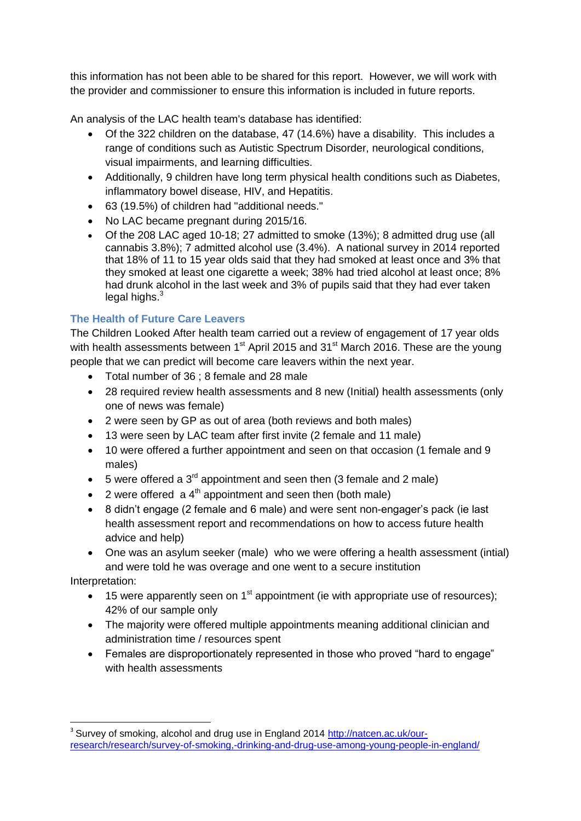this information has not been able to be shared for this report. However, we will work with the provider and commissioner to ensure this information is included in future reports.

An analysis of the LAC health team's database has identified:

- Of the 322 children on the database, 47 (14.6%) have a disability. This includes a range of conditions such as Autistic Spectrum Disorder, neurological conditions, visual impairments, and learning difficulties.
- Additionally, 9 children have long term physical health conditions such as Diabetes, inflammatory bowel disease, HIV, and Hepatitis.
- 63 (19.5%) of children had "additional needs."
- No LAC became pregnant during 2015/16.
- Of the 208 LAC aged 10-18; 27 admitted to smoke (13%); 8 admitted drug use (all cannabis 3.8%); 7 admitted alcohol use (3.4%). A national survey in 2014 reported that 18% of 11 to 15 year olds said that they had smoked at least once and 3% that they smoked at least one cigarette a week; 38% had tried alcohol at least once; 8% had drunk alcohol in the last week and 3% of pupils said that they had ever taken legal highs. $3$

#### **The Health of Future Care Leavers**

The Children Looked After health team carried out a review of engagement of 17 year olds with health assessments between 1<sup>st</sup> April 2015 and 31<sup>st</sup> March 2016. These are the young people that we can predict will become care leavers within the next year.

- Total number of 36 ; 8 female and 28 male
- 28 required review health assessments and 8 new (Initial) health assessments (only one of news was female)
- 2 were seen by GP as out of area (both reviews and both males)
- 13 were seen by LAC team after first invite (2 female and 11 male)
- 10 were offered a further appointment and seen on that occasion (1 female and 9 males)
- $\bullet$  5 were offered a 3<sup>rd</sup> appointment and seen then (3 female and 2 male)
- 2 were offered  $a 4<sup>th</sup>$  appointment and seen then (both male)
- 8 didn't engage (2 female and 6 male) and were sent non-engager's pack (ie last health assessment report and recommendations on how to access future health advice and help)
- One was an asylum seeker (male) who we were offering a health assessment (intial) and were told he was overage and one went to a secure institution

Interpretation:

- $\bullet$  15 were apparently seen on 1<sup>st</sup> appointment (ie with appropriate use of resources); 42% of our sample only
- The majority were offered multiple appointments meaning additional clinician and administration time / resources spent
- Females are disproportionately represented in those who proved "hard to engage" with health assessments

**<sup>.</sup>** <sup>3</sup> Survey of smoking, alcohol and drug use in England 2014 [http://natcen.ac.uk/our](http://natcen.ac.uk/our-research/research/survey-of-smoking,-drinking-and-drug-use-among-young-people-in-england/)[research/research/survey-of-smoking,-drinking-and-drug-use-among-young-people-in-england/](http://natcen.ac.uk/our-research/research/survey-of-smoking,-drinking-and-drug-use-among-young-people-in-england/)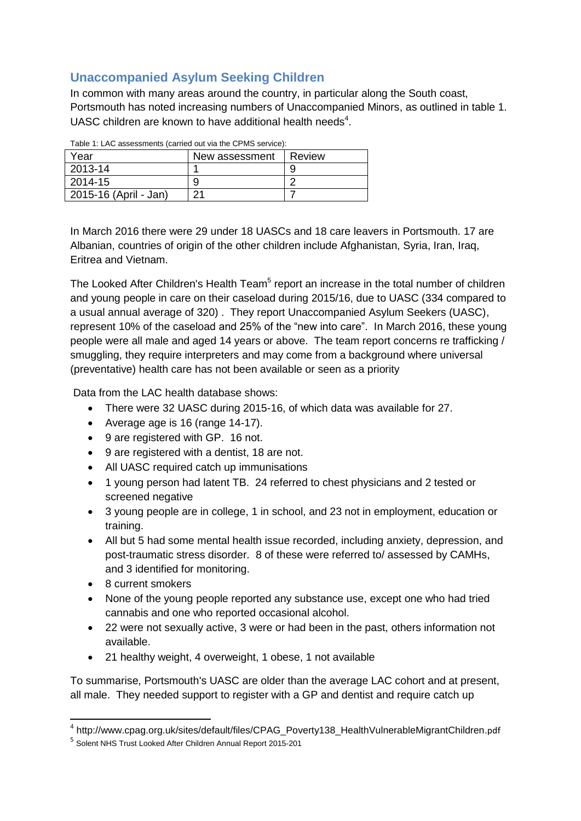# **Unaccompanied Asylum Seeking Children**

In common with many areas around the country, in particular along the South coast, Portsmouth has noted increasing numbers of Unaccompanied Minors, as outlined in table 1. UASC children are known to have additional health needs<sup>4</sup>.

| Table T. LAC assessments (carried out via the CF MC Service). |        |  |  |  |  |  |  |
|---------------------------------------------------------------|--------|--|--|--|--|--|--|
| New assessment                                                | Review |  |  |  |  |  |  |
|                                                               | 9      |  |  |  |  |  |  |
| 9                                                             |        |  |  |  |  |  |  |
| 21                                                            |        |  |  |  |  |  |  |
|                                                               |        |  |  |  |  |  |  |

 $T<sub>1</sub>$  Let  $\overline{A}$ : LAC assessments (carried out via the CPMC service):

In March 2016 there were 29 under 18 UASCs and 18 care leavers in Portsmouth. 17 are Albanian, countries of origin of the other children include Afghanistan, Syria, Iran, Iraq, Eritrea and Vietnam.

The Looked After Children's Health Team<sup>5</sup> report an increase in the total number of children and young people in care on their caseload during 2015/16, due to UASC (334 compared to a usual annual average of 320) . They report Unaccompanied Asylum Seekers (UASC), represent 10% of the caseload and 25% of the "new into care". In March 2016, these young people were all male and aged 14 years or above. The team report concerns re trafficking / smuggling, they require interpreters and may come from a background where universal (preventative) health care has not been available or seen as a priority

Data from the LAC health database shows:

- There were 32 UASC during 2015-16, of which data was available for 27.
- Average age is 16 (range 14-17).
- 9 are registered with GP. 16 not.
- 9 are registered with a dentist, 18 are not.
- All UASC required catch up immunisations
- 1 young person had latent TB. 24 referred to chest physicians and 2 tested or screened negative
- 3 young people are in college, 1 in school, and 23 not in employment, education or training.
- All but 5 had some mental health issue recorded, including anxiety, depression, and post-traumatic stress disorder. 8 of these were referred to/ assessed by CAMHs, and 3 identified for monitoring.
- 8 current smokers
- None of the young people reported any substance use, except one who had tried cannabis and one who reported occasional alcohol.
- 22 were not sexually active, 3 were or had been in the past, others information not available.
- 21 healthy weight, 4 overweight, 1 obese, 1 not available

To summarise, Portsmouth's UASC are older than the average LAC cohort and at present, all male. They needed support to register with a GP and dentist and require catch up

 4 http://www.cpag.org.uk/sites/default/files/CPAG\_Poverty138\_HealthVulnerableMigrantChildren.pdf

<sup>5</sup> Solent NHS Trust Looked After Children Annual Report 2015-201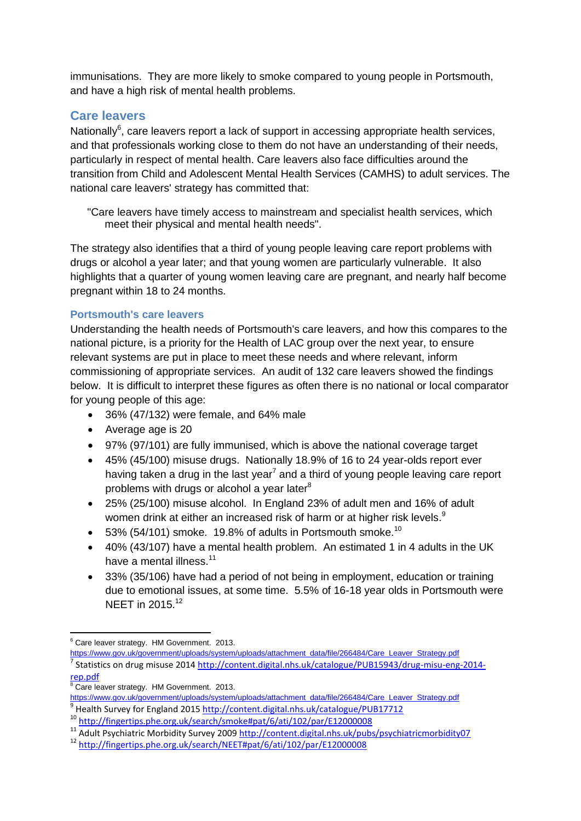immunisations. They are more likely to smoke compared to young people in Portsmouth, and have a high risk of mental health problems.

## **Care leavers**

Nationally<sup>6</sup>, care leavers report a lack of support in accessing appropriate health services, and that professionals working close to them do not have an understanding of their needs, particularly in respect of mental health. Care leavers also face difficulties around the transition from Child and Adolescent Mental Health Services (CAMHS) to adult services. The national care leavers' strategy has committed that:

"Care leavers have timely access to mainstream and specialist health services, which meet their physical and mental health needs".

The strategy also identifies that a third of young people leaving care report problems with drugs or alcohol a year later; and that young women are particularly vulnerable. It also highlights that a quarter of young women leaving care are pregnant, and nearly half become pregnant within 18 to 24 months.

#### **Portsmouth's care leavers**

Understanding the health needs of Portsmouth's care leavers, and how this compares to the national picture, is a priority for the Health of LAC group over the next year, to ensure relevant systems are put in place to meet these needs and where relevant, inform commissioning of appropriate services. An audit of 132 care leavers showed the findings below. It is difficult to interpret these figures as often there is no national or local comparator for young people of this age:

- 36% (47/132) were female, and 64% male
- Average age is 20
- 97% (97/101) are fully immunised, which is above the national coverage target
- 45% (45/100) misuse drugs. Nationally 18.9% of 16 to 24 year-olds report ever having taken a drug in the last year<sup>7</sup> and a third of young people leaving care report problems with drugs or alcohol a year later $8$
- 25% (25/100) misuse alcohol. In England 23% of adult men and 16% of adult women drink at either an increased risk of harm or at higher risk levels.<sup>9</sup>
- $\bullet$  53% (54/101) smoke. 19.8% of adults in Portsmouth smoke.<sup>10</sup>
- 40% (43/107) have a mental health problem. An estimated 1 in 4 adults in the UK have a mental illness. $11$
- 33% (35/106) have had a period of not being in employment, education or training due to emotional issues, at some time. 5.5% of 16-18 year olds in Portsmouth were NEET in 2015.<sup>12</sup>

**<sup>.</sup>**  $6$  Care leaver strategy. HM Government. 2013.

[https://www.gov.uk/government/uploads/system/uploads/attachment\\_data/file/266484/Care\\_Leaver\\_Strategy.pdf](https://www.gov.uk/government/uploads/system/uploads/attachment_data/file/266484/Care_Leaver_Strategy.pdf)

<sup>&</sup>lt;sup>7</sup> Statistics on drug misuse 2014 [http://content.digital.nhs.uk/catalogue/PUB15943/drug-misu-eng-2014](http://content.digital.nhs.uk/catalogue/PUB15943/drug-misu-eng-2014-rep.pdf) [rep.pdf](http://content.digital.nhs.uk/catalogue/PUB15943/drug-misu-eng-2014-rep.pdf)

Care leaver strategy. HM Government. 2013.

[https://www.gov.uk/government/uploads/system/uploads/attachment\\_data/file/266484/Care\\_Leaver\\_Strategy.pdf](https://www.gov.uk/government/uploads/system/uploads/attachment_data/file/266484/Care_Leaver_Strategy.pdf)

<sup>&</sup>lt;sup>9</sup> Health Survey for England 201[5 http://content.digital.nhs.uk/catalogue/PUB17712](http://content.digital.nhs.uk/catalogue/PUB17712)

<sup>10</sup> <http://fingertips.phe.org.uk/search/smoke#pat/6/ati/102/par/E12000008>

<sup>11</sup> Adult Psychiatric Morbidity Survey 2009<http://content.digital.nhs.uk/pubs/psychiatricmorbidity07>

<sup>12</sup> <http://fingertips.phe.org.uk/search/NEET#pat/6/ati/102/par/E12000008>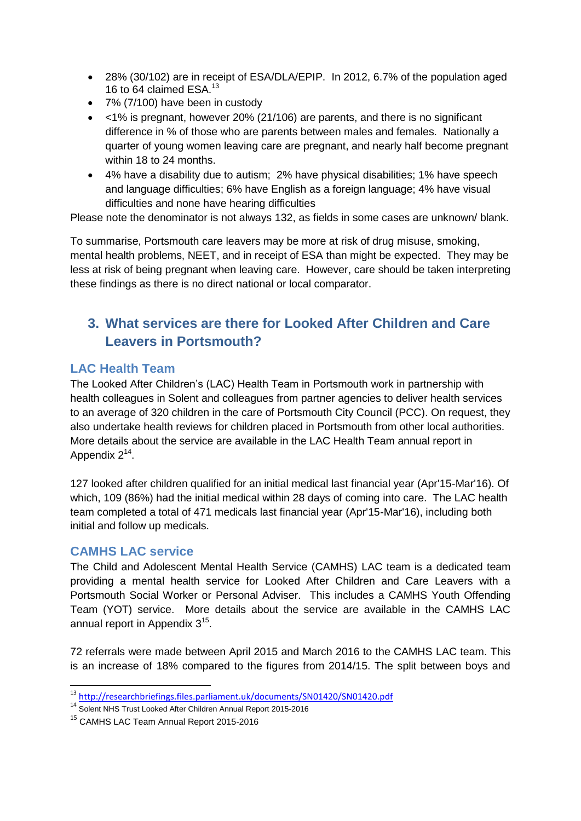- 28% (30/102) are in receipt of ESA/DLA/EPIP. In 2012, 6.7% of the population aged 16 to 64 claimed ESA.<sup>13</sup>
- 7% (7/100) have been in custody
- <1% is pregnant, however 20% (21/106) are parents, and there is no significant difference in % of those who are parents between males and females. Nationally a quarter of young women leaving care are pregnant, and nearly half become pregnant within 18 to 24 months.
- 4% have a disability due to autism; 2% have physical disabilities; 1% have speech and language difficulties; 6% have English as a foreign language; 4% have visual difficulties and none have hearing difficulties

Please note the denominator is not always 132, as fields in some cases are unknown/ blank.

To summarise, Portsmouth care leavers may be more at risk of drug misuse, smoking, mental health problems, NEET, and in receipt of ESA than might be expected. They may be less at risk of being pregnant when leaving care. However, care should be taken interpreting these findings as there is no direct national or local comparator.

# **3. What services are there for Looked After Children and Care Leavers in Portsmouth?**

## **LAC Health Team**

The Looked After Children's (LAC) Health Team in Portsmouth work in partnership with health colleagues in Solent and colleagues from partner agencies to deliver health services to an average of 320 children in the care of Portsmouth City Council (PCC). On request, they also undertake health reviews for children placed in Portsmouth from other local authorities. More details about the service are available in the LAC Health Team annual report in Appendix  $2^{14}$ .

127 looked after children qualified for an initial medical last financial year (Apr'15-Mar'16). Of which, 109 (86%) had the initial medical within 28 days of coming into care. The LAC health team completed a total of 471 medicals last financial year (Apr'15-Mar'16), including both initial and follow up medicals.

#### **CAMHS LAC service**

1

The Child and Adolescent Mental Health Service (CAMHS) LAC team is a dedicated team providing a mental health service for Looked After Children and Care Leavers with a Portsmouth Social Worker or Personal Adviser. This includes a CAMHS Youth Offending Team (YOT) service. More details about the service are available in the CAMHS LAC annual report in Appendix  $3^{15}$ .

72 referrals were made between April 2015 and March 2016 to the CAMHS LAC team. This is an increase of 18% compared to the figures from 2014/15. The split between boys and

<sup>&</sup>lt;sup>13</sup> <http://researchbriefings.files.parliament.uk/documents/SN01420/SN01420.pdf>

<sup>14</sup> Solent NHS Trust Looked After Children Annual Report 2015-2016

<sup>&</sup>lt;sup>15</sup> CAMHS LAC Team Annual Report 2015-2016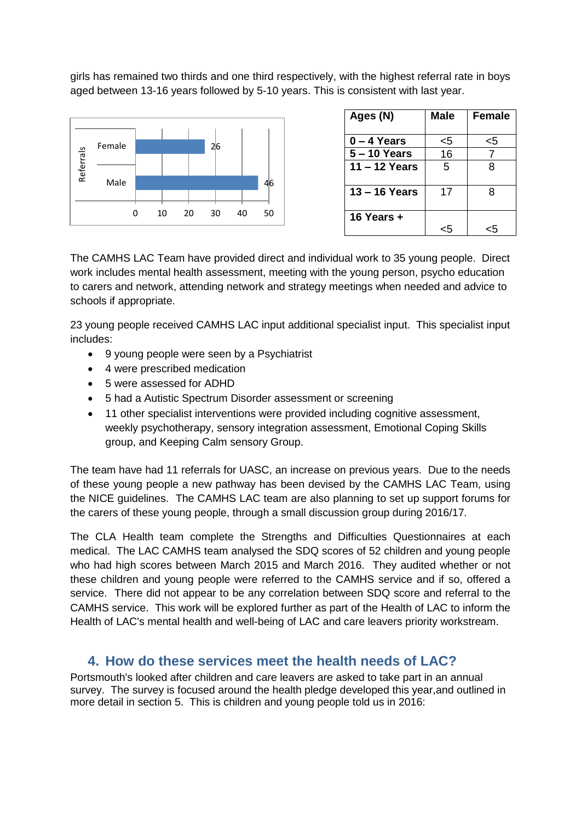girls has remained two thirds and one third respectively, with the highest referral rate in boys aged between 13-16 years followed by 5-10 years. This is consistent with last year.



| Ages (N)      | Male | <b>Female</b> |
|---------------|------|---------------|
| 0 – 4 Years   | <5   | <5            |
| 5 – 10 Years  | 16   |               |
| 11 – 12 Years | 5    | 8             |
| 13 – 16 Years | 17   | 8             |
| 16 Years +    |      |               |

The CAMHS LAC Team have provided direct and individual work to 35 young people. Direct work includes mental health assessment, meeting with the young person, psycho education to carers and network, attending network and strategy meetings when needed and advice to schools if appropriate.

23 young people received CAMHS LAC input additional specialist input. This specialist input includes:

- 9 young people were seen by a Psychiatrist
- 4 were prescribed medication
- 5 were assessed for ADHD
- 5 had a Autistic Spectrum Disorder assessment or screening
- 11 other specialist interventions were provided including cognitive assessment, weekly psychotherapy, sensory integration assessment, Emotional Coping Skills group, and Keeping Calm sensory Group.

The team have had 11 referrals for UASC, an increase on previous years. Due to the needs of these young people a new pathway has been devised by the CAMHS LAC Team, using the NICE guidelines. The CAMHS LAC team are also planning to set up support forums for the carers of these young people, through a small discussion group during 2016/17.

The CLA Health team complete the Strengths and Difficulties Questionnaires at each medical. The LAC CAMHS team analysed the SDQ scores of 52 children and young people who had high scores between March 2015 and March 2016. They audited whether or not these children and young people were referred to the CAMHS service and if so, offered a service. There did not appear to be any correlation between SDQ score and referral to the CAMHS service. This work will be explored further as part of the Health of LAC to inform the Health of LAC's mental health and well-being of LAC and care leavers priority workstream.

# **4. How do these services meet the health needs of LAC?**

Portsmouth's looked after children and care leavers are asked to take part in an annual survey. The survey is focused around the health pledge developed this year,and outlined in more detail in section 5. This is children and young people told us in 2016: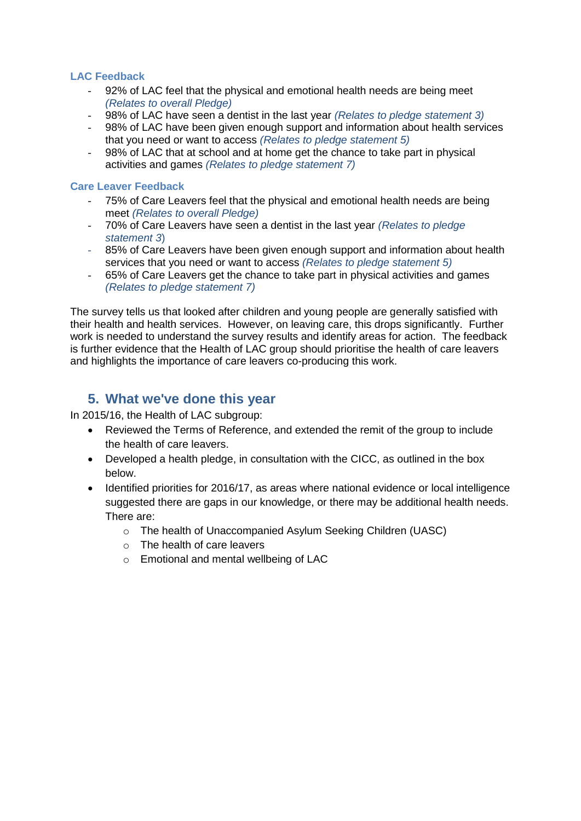#### **LAC Feedback**

- 92% of LAC feel that the physical and emotional health needs are being meet *(Relates to overall Pledge)*
- 98% of LAC have seen a dentist in the last year *(Relates to pledge statement 3)*
- 98% of LAC have been given enough support and information about health services that you need or want to access *(Relates to pledge statement 5)*
- 98% of LAC that at school and at home get the chance to take part in physical activities and games *(Relates to pledge statement 7)*

#### **Care Leaver Feedback**

- 75% of Care Leavers feel that the physical and emotional health needs are being meet *(Relates to overall Pledge)*
- 70% of Care Leavers have seen a dentist in the last year *(Relates to pledge statement 3*)
- 85% of Care Leavers have been given enough support and information about health services that you need or want to access *(Relates to pledge statement 5)*
- 65% of Care Leavers get the chance to take part in physical activities and games *(Relates to pledge statement 7)*

The survey tells us that looked after children and young people are generally satisfied with their health and health services. However, on leaving care, this drops significantly. Further work is needed to understand the survey results and identify areas for action. The feedback is further evidence that the Health of LAC group should prioritise the health of care leavers and highlights the importance of care leavers co-producing this work.

# **5. What we've done this year**

In 2015/16, the Health of LAC subgroup:

- Reviewed the Terms of Reference, and extended the remit of the group to include the health of care leavers.
- Developed a health pledge, in consultation with the CICC, as outlined in the box below.
- Identified priorities for 2016/17, as areas where national evidence or local intelligence suggested there are gaps in our knowledge, or there may be additional health needs. There are:
	- o The health of Unaccompanied Asylum Seeking Children (UASC)
	- o The health of care leavers
	- o Emotional and mental wellbeing of LAC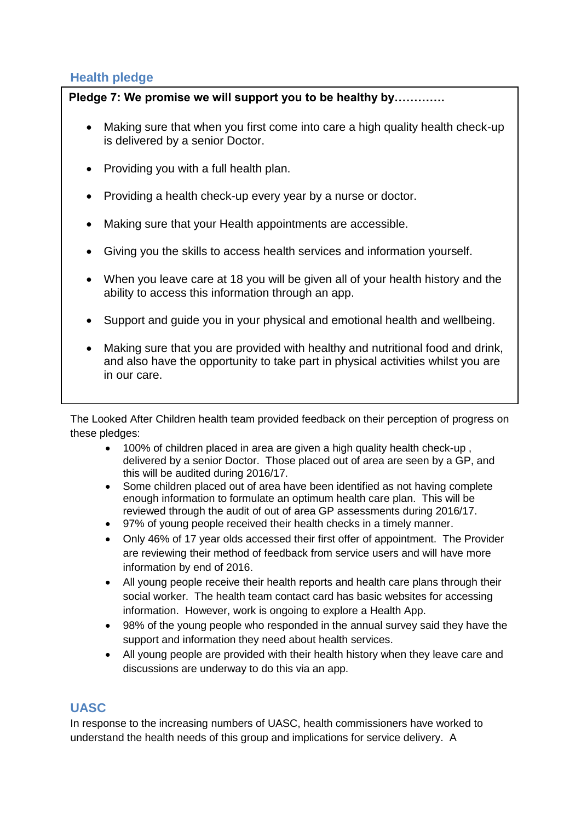# **Health pledge**

# Pledge 7: We promise we will support you to be healthy by.............

- Making sure that when you first come into care a high quality health check-up is delivered by a senior Doctor.
- Providing you with a full health plan.
- Providing a health check-up every year by a nurse or doctor.
- Making sure that your Health appointments are accessible.
- Giving you the skills to access health services and information yourself.
- When you leave care at 18 you will be given all of your health history and the ability to access this information through an app.
- Support and guide you in your physical and emotional health and wellbeing.
- Making sure that you are provided with healthy and nutritional food and drink, and also have the opportunity to take part in physical activities whilst you are in our care.

The Looked After Children health team provided feedback on their perception of progress on these pledges:

- 100% of children placed in area are given a high quality health check-up , delivered by a senior Doctor. Those placed out of area are seen by a GP, and this will be audited during 2016/17.
- Some children placed out of area have been identified as not having complete enough information to formulate an optimum health care plan. This will be reviewed through the audit of out of area GP assessments during 2016/17.
- 97% of young people received their health checks in a timely manner.
- Only 46% of 17 year olds accessed their first offer of appointment. The Provider are reviewing their method of feedback from service users and will have more information by end of 2016.
- All young people receive their health reports and health care plans through their social worker. The health team contact card has basic websites for accessing information. However, work is ongoing to explore a Health App.
- 98% of the young people who responded in the annual survey said they have the support and information they need about health services.
- All young people are provided with their health history when they leave care and discussions are underway to do this via an app.

# **UASC**

In response to the increasing numbers of UASC, health commissioners have worked to understand the health needs of this group and implications for service delivery. A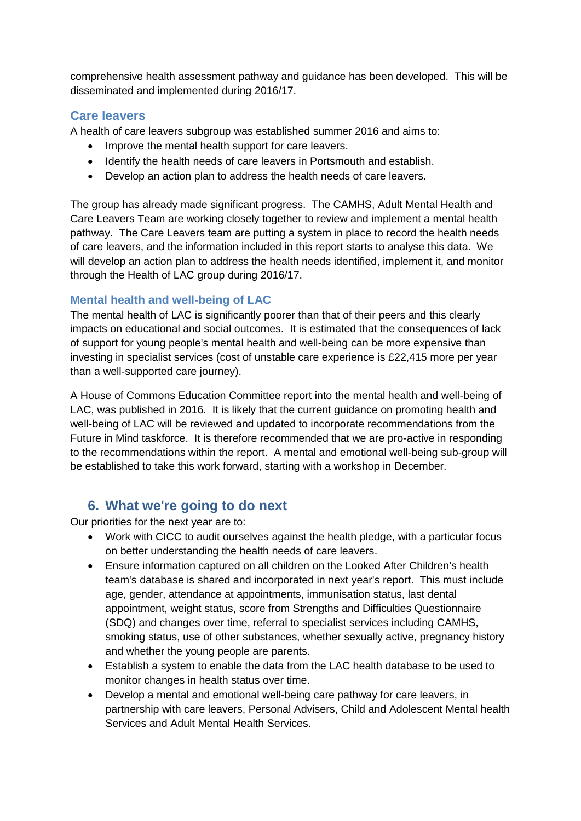comprehensive health assessment pathway and guidance has been developed. This will be disseminated and implemented during 2016/17.

## **Care leavers**

A health of care leavers subgroup was established summer 2016 and aims to:

- Improve the mental health support for care leavers.
- Identify the health needs of care leavers in Portsmouth and establish.
- Develop an action plan to address the health needs of care leavers.

The group has already made significant progress. The CAMHS, Adult Mental Health and Care Leavers Team are working closely together to review and implement a mental health pathway. The Care Leavers team are putting a system in place to record the health needs of care leavers, and the information included in this report starts to analyse this data. We will develop an action plan to address the health needs identified, implement it, and monitor through the Health of LAC group during 2016/17.

#### **Mental health and well-being of LAC**

The mental health of LAC is significantly poorer than that of their peers and this clearly impacts on educational and social outcomes. It is estimated that the consequences of lack of support for young people's mental health and well-being can be more expensive than investing in specialist services (cost of unstable care experience is £22,415 more per year than a well-supported care journey).

A House of Commons Education Committee report into the mental health and well-being of LAC, was published in 2016. It is likely that the current guidance on promoting health and well-being of LAC will be reviewed and updated to incorporate recommendations from the Future in Mind taskforce. It is therefore recommended that we are pro-active in responding to the recommendations within the report. A mental and emotional well-being sub-group will be established to take this work forward, starting with a workshop in December.

# **6. What we're going to do next**

Our priorities for the next year are to:

- Work with CICC to audit ourselves against the health pledge, with a particular focus on better understanding the health needs of care leavers.
- Ensure information captured on all children on the Looked After Children's health team's database is shared and incorporated in next year's report. This must include age, gender, attendance at appointments, immunisation status, last dental appointment, weight status, score from Strengths and Difficulties Questionnaire (SDQ) and changes over time, referral to specialist services including CAMHS, smoking status, use of other substances, whether sexually active, pregnancy history and whether the young people are parents.
- Establish a system to enable the data from the LAC health database to be used to monitor changes in health status over time.
- Develop a mental and emotional well-being care pathway for care leavers, in partnership with care leavers, Personal Advisers, Child and Adolescent Mental health Services and Adult Mental Health Services.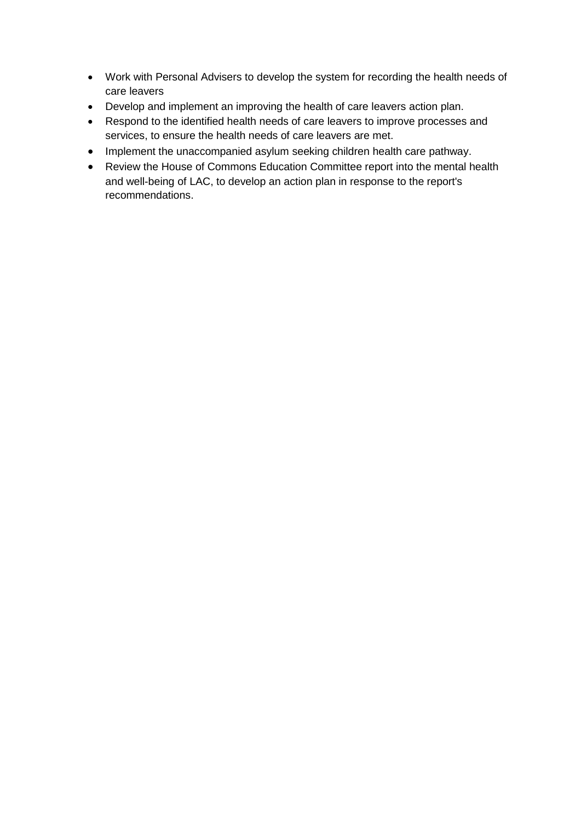- Work with Personal Advisers to develop the system for recording the health needs of care leavers
- Develop and implement an improving the health of care leavers action plan.
- Respond to the identified health needs of care leavers to improve processes and services, to ensure the health needs of care leavers are met.
- Implement the unaccompanied asylum seeking children health care pathway.
- Review the House of Commons Education Committee report into the mental health and well-being of LAC, to develop an action plan in response to the report's recommendations.